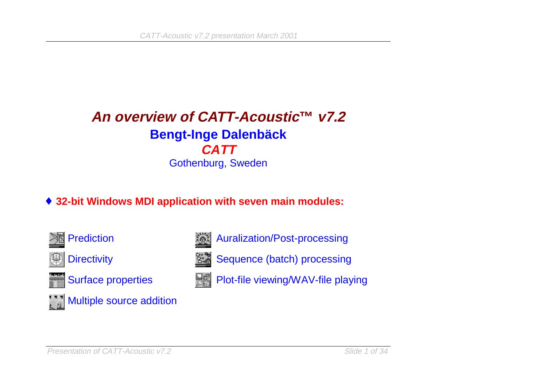### **An overview of CATT-Acoustic™ v7.2Bengt-Inge Dalenbäck CATT**Gothenburg, Sweden

### ♦ **32-bit Windows MDI application with seven main modules:**



<sup>í</sup> Prediction

 $\circledast$ **Directivity** 



Surface properties



Multiple source addition



Auralization/Post-processing



F0 Plot-file viewing/WAV-file playing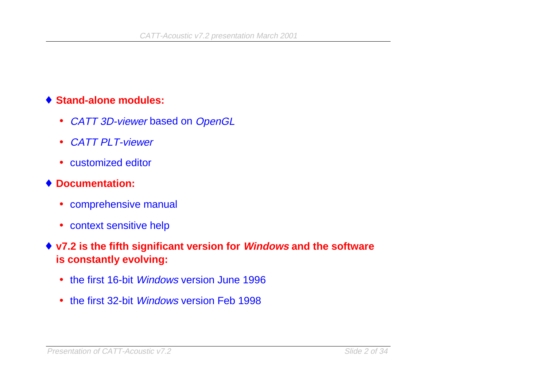#### ♦ **Stand-alone modules:**

- CATT 3D-viewer based on OpenGL
- CATT PLT-viewer
- customized editor
- ♦ **Documentation:**
	- comprehensive manual
	- context sensitive help
- ♦ **v7.2 is the fifth significant version for Windows and the software is constantly evolving:**
	- the first 16-bit *Windows* version June 1996
	- the first 32-bit *Windows* version Feb 1998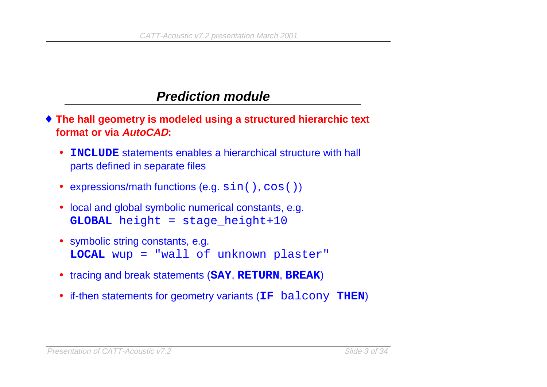### **Prediction module**

- ♦ **The hall geometry is modeled using a structured hierarchic text format or via AutoCAD:**
	- • **INCLUDE** statements enables a hierarchical structure with hall parts defined in separate files
	- expressions/math functions (e.g.  $sin($  ),  $cos($  ))
	- local and global symbolic numerical constants, e.g. **GLOBAL** height = stage\_height+10
	- symbolic string constants, e.g. **LOCAL** wup = "wall of unknown plaster"
	- tracing and break statements (**SAY**, **RETURN**, **BREAK**)
	- if-then statements for geometry variants (**IF** balcony **THEN**)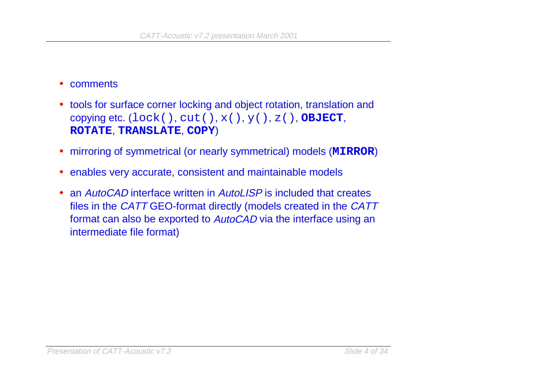#### $\bullet$ comments

- tools for surface corner locking and object rotation, translation and copying etc. (lock(), cut(), x(), y(), z(), **OBJECT**, **ROTATE**, **TRANSLATE**, **COPY**)
- mirroring of symmetrical (or nearly symmetrical) models (**MIRROR**)
- enables very accurate, consistent and maintainable models
- an AutoCAD interface written in AutoLISP is included that creates files in the CATT GEO-format directly (models created in the CATT format can also be exported to AutoCAD via the interface using an intermediate file format)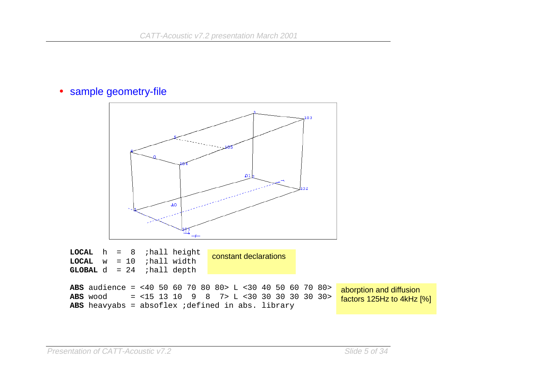#### • sample geometry-file

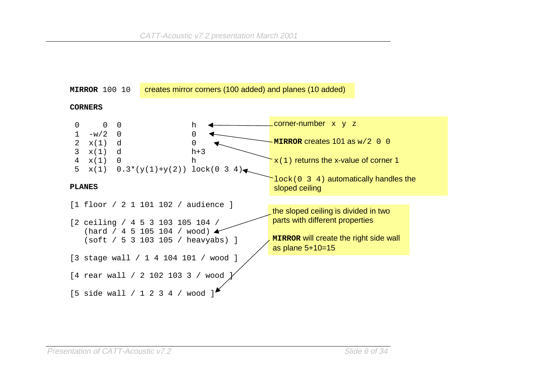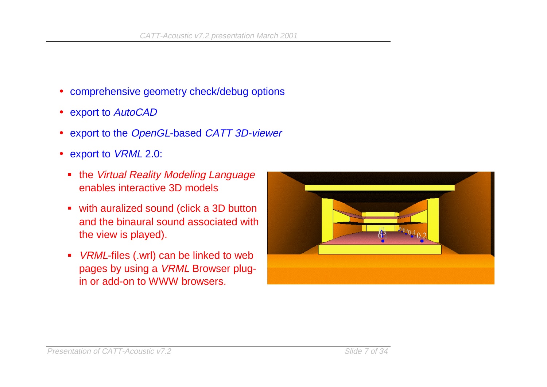- comprehensive geometry check/debug options
- export to AutoCAD
- $\bullet$ export to the OpenGL-based CATT 3D-viewer
- export to *VRML* 2.0:
	- the Virtual Reality Modeling Language enables interactive 3D models
	- with auralized sound (click a 3D button and the binaural sound associated withthe view is played).
	- *VRML*-files (.wrl) can be linked to web pages by using a VRML Browser plugin or add-on to WWW browsers.

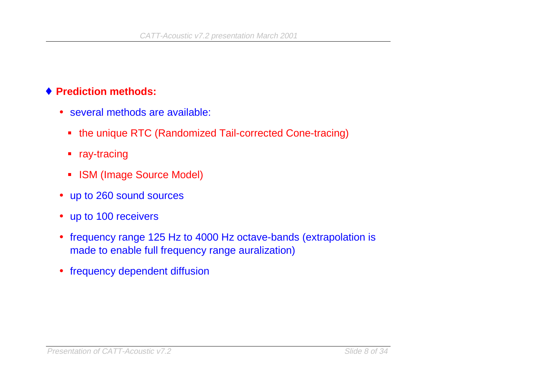#### ♦ **Prediction methods:**

- several methods are available:
	- the unique RTC (Randomized Tail-corrected Cone-tracing)
	- **F** ray-tracing
	- **ISM (Image Source Model)**
- up to 260 sound sources
- up to 100 receivers
- frequency range 125 Hz to 4000 Hz octave-bands (extrapolation is made to enable full frequency range auralization)
- frequency dependent diffusion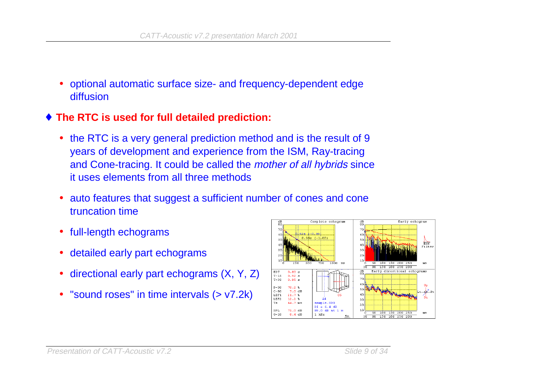- • optional automatic surface size- and frequency-dependent edge diffusion
- ♦ **The RTC is used for full detailed prediction:**
	- the RTC is a very general prediction method and is the result of 9 years of development and experience from the ISM, Ray-tracing and Cone-tracing. It could be called the mother of all hybrids since it uses elements from all three methods
	- $\bullet$  auto features that suggest a sufficient number of cones and cone truncation time
	- full-length echograms
	- $\bullet$ detailed early part echograms
	- $\bullet$ directional early part echograms (X, Y, Z)
	- "sound roses" in time intervals (> v7.2k)

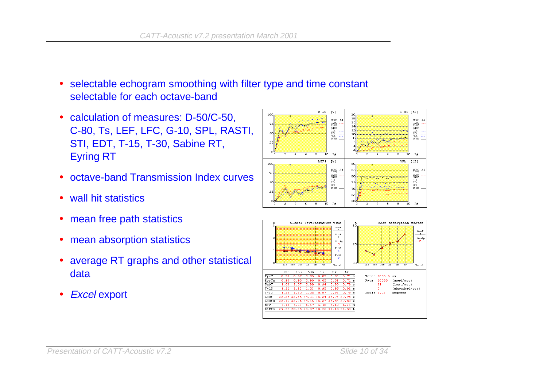- $\bullet$  selectable echogram smoothing with filter type and time constant selectable for each octave-band
- calculation of measures: D-50/C-50, C-80, Ts, LEF, LFC, G-10, SPL, RASTI, STI, EDT, T-15, T-30, Sabine RT, Eyring RT
- octave-band Transmission Index curves
- wall hit statistics
- mean free path statistics
- mean absorption statistics
- average RT graphs and other statistical data
- $\bullet$ Excel export



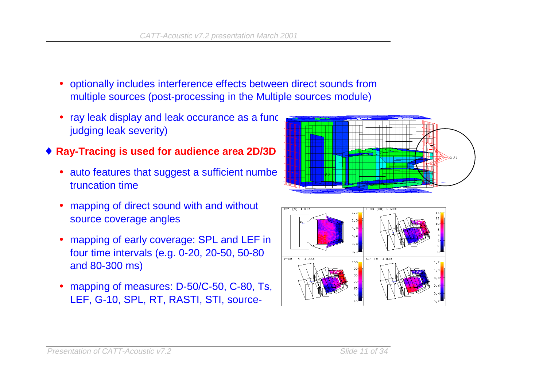- optionally includes interference effects between direct sounds from multiple sources (post-processing in the Multiple sources module)
- ray leak display and leak occurance as a function of the time (for the time of time (for the time of time of judging leak severity)
- $\blacklozenge$  Ray-Tracing is used for audience area 2D/3D  $\blacktriangleright$ 
	- auto features that suggest a sufficient number of the ray of the ray truncation time
	- mapping of direct sound with and without source coverage angles
	- mapping of early coverage: SPL and LEF in four time intervals (e.g. 0-20, 20-50, 50-80 and 80-300 ms)
	- mapping of measures: D-50/C-50, C-80, Ts, LEF, G-10, SPL, RT, RASTI, STI, source-



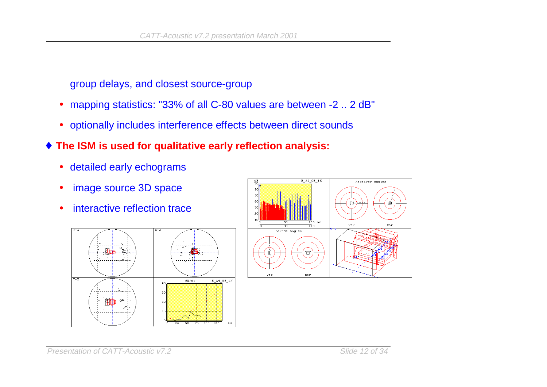group delays, and closest source-group

- $\bullet$ mapping statistics: "33% of all C-80 values are between -2 .. 2 dB"
- optionally includes interference effects between direct sounds
- ♦ **The ISM is used for qualitative early reflection analysis:**
	- $\bullet$ detailed early echograms
	- image source 3D space
	- interactive reflection trace





Presentation of CATT-Acoustic v7.2 Slide 12 of 34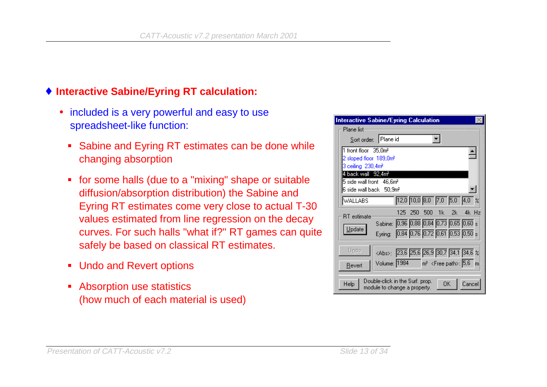### ♦ **Interactive Sabine/Eyring RT calculation:**

- included is a very powerful and easy to use spreadsheet-like function:
	- Sabine and Eyring RT estimates can be done while changing absorption
	- for some halls (due to a "mixing" shape or suitable diffusion/absorption distribution) the Sabine and Eyring RT estimates come very close to actual T-30 values estimated from line regression on the decay curves. For such halls "what if?" RT games can quite safely be based on classical RT estimates.
	- **Undo and Revert options**
	- **Absorption use statistics** (how much of each material is used)

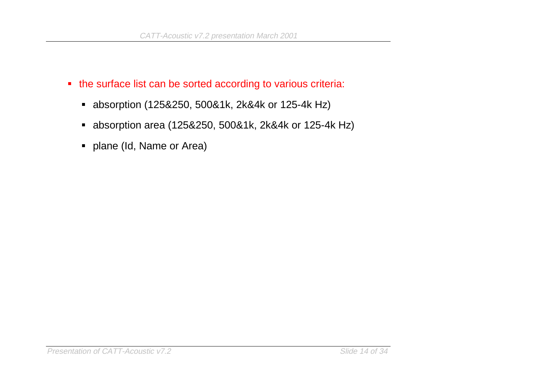- the surface list can be sorted according to various criteria:
	- absorption (125&250, 500&1k, 2k&4k or 125-4k Hz)
	- absorption area (125&250, 500&1k, 2k&4k or 125-4k Hz)
	- **•** plane (Id, Name or Area)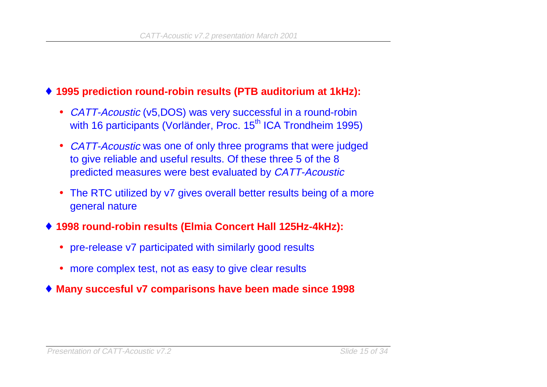#### ♦ **1995 prediction round-robin results (PTB auditorium at 1kHz):**

- CATT-Acoustic (v5,DOS) was very successful in a round-robin with 16 participants (Vorländer, Proc. 15<sup>th</sup> ICA Trondheim 1995)
- •CATT-Acoustic was one of only three programs that were judged to give reliable and useful results. Of these three 5 of the 8 predicted measures were best evaluated by CATT-Acoustic
- The RTC utilized by v7 gives overall better results being of a more general nature
- ♦ **1998 round-robin results (Elmia Concert Hall 125Hz-4kHz):**
	- pre-release v7 participated with similarly good results
	- more complex test, not as easy to give clear results
- ♦ **Many succesful v7 comparisons have been made since 1998**

#### Presentation of CATT-Acoustic v7.2 Slide 15 of 34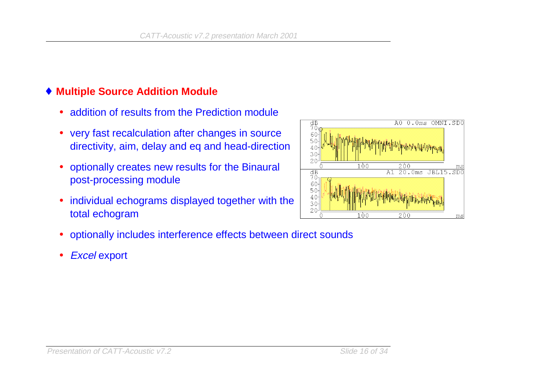### ♦ **Multiple Source Addition Module**

- $\bullet$ addition of results from the Prediction module
- very fast recalculation after changes in source directivity, aim, delay and eq and head-direction
- • optionally creates new results for the Binaural post-processing module
- $\bullet$  individual echograms displayed together with the total echogram



- optionally includes interference effects between direct sounds
- $\bullet$ Excel export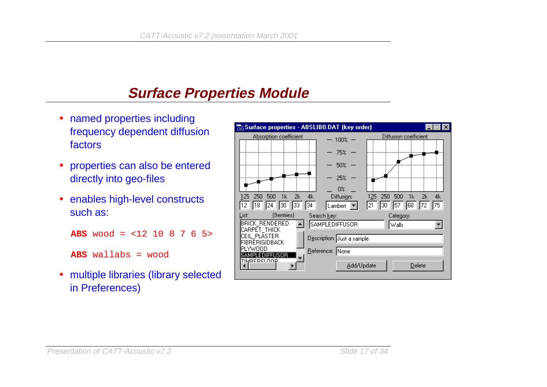# **Surface Properties Module**

- named properties including frequency dependent diffusion factors
- • properties can also be entered directly into geo-files
- enables high-level constructs such as:

```
ABS wood = <12 10 8 7 6 5>
```

```
ABS wallabs = wood
```
• multiple libraries (library selected in Preferences)

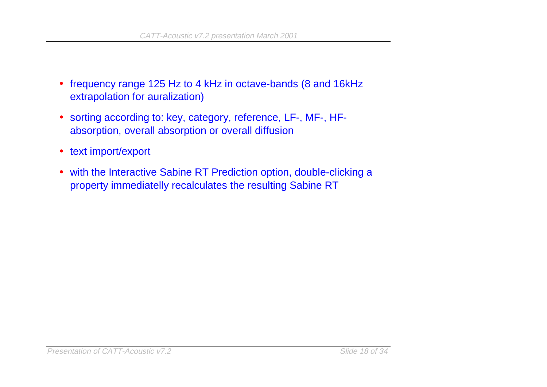- frequency range 125 Hz to 4 kHz in octave-bands (8 and 16kHz extrapolation for auralization)
- sorting according to: key, category, reference, LF-, MF-, HFabsorption, overall absorption or overall diffusion
- text import/export
- with the Interactive Sabine RT Prediction option, double-clicking a property immediatelly recalculates the resulting Sabine RT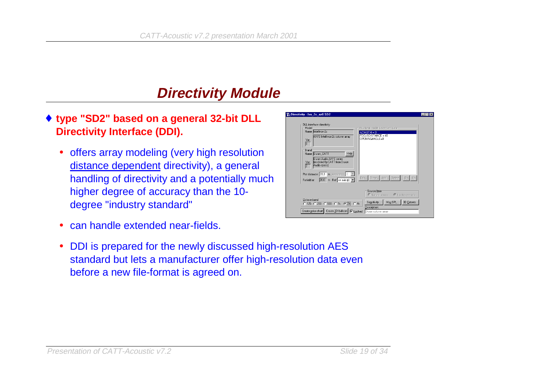# **Directivity Module**

- ♦ **type "SD2" based on a general 32-bit DLL Directivity Interface (DDI).**
	- offers array modeling (very high resolution distance dependent directivity), a general handling of directivity and a potentially much higher degree of accuracy than the 10 degree "industry standard"
	- $\bullet$ can handle extended near-fields.
	- $\bullet$  DDI is prepared for the newly discussed high-resolution AES standard but lets a manufacturer offer high-resolution data even before a new file-format is agreed on.

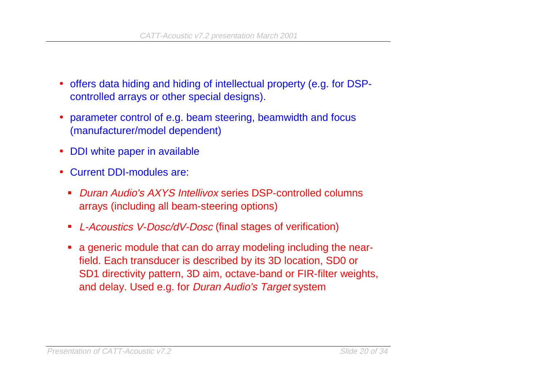- $\bullet$  offers data hiding and hiding of intellectual property (e.g. for DSPcontrolled arrays or other special designs).
- • parameter control of e.g. beam steering, beamwidth and focus (manufacturer/model dependent)
- •DDI white paper in available
- • Current DDI-modules are:
	- $\blacksquare$  Duran Audio's AXYS Intellivox series DSP-controlled columnsarrays (including all beam-steering options)
	- $\blacksquare$ L-Acoustics V-Dosc/dV-Dosc (final stages of verification)
	- a generic module that can do array modeling including the nearfield. Each transducer is described by its 3D location, SD0 or SD1 directivity pattern, 3D aim, octave-band or FIR-filter weights, and delay. Used e.g. for Duran Audio's Target system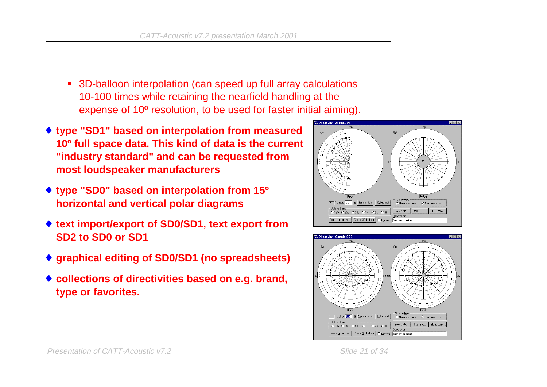- 3D-balloon interpolation (can speed up full array calculations 10-100 times while retaining the nearfield handling at the expense of 10º resolution, to be used for faster initial aiming).
- ♦ **type "SD1" based on interpolation from measured 10º full space data. This kind of data is the current "industry standard" and can be requested from most loudspeaker manufacturers**
- ♦ **type "SD0" based on interpolation from 15º horizontal and vertical polar diagrams**
- ♦ **text import/export of SD0/SD1, text export from SD2 to SD0 or SD1**
- ♦ **graphical editing of SD0/SD1 (no spreadsheets)**
- ♦ **collections of directivities based on e.g. brand, type or favorites.**





#### Presentation of CATT-Acoustic v7.2 Slide 21 of 34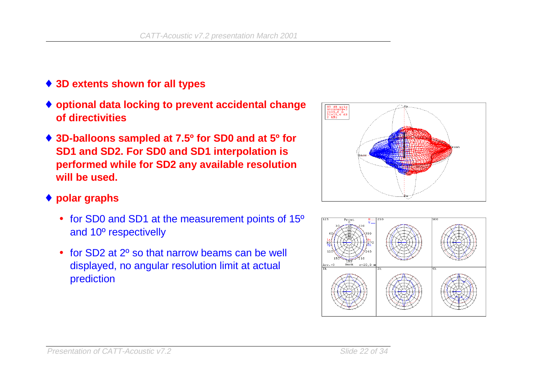- ♦ **3D extents shown for all types**
- ♦ **optional data locking to prevent accidental change of directivities**
- ♦ **3D-balloons sampled at 7.5º for SD0 and at 5º for SD1 and SD2. For SD0 and SD1 interpolation is performed while for SD2 any available resolution will be used.**
- ♦ **polar graphs**
	- for SD0 and SD1 at the measurement points of 15<sup>o</sup> and 10º respectivelly
	- for SD2 at 2<sup>o</sup> so that narrow beams can be well displayed, no angular resolution limit at actual prediction



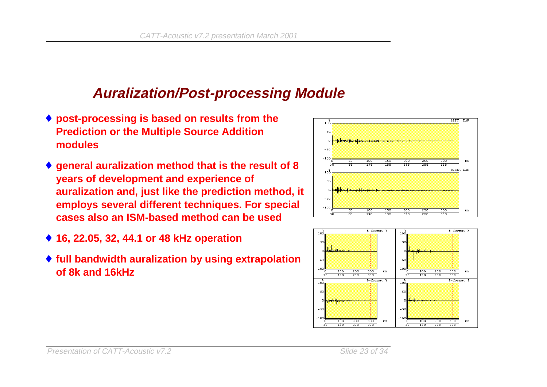## **Auralization/Post-processing Module**

- ♦ **post-processing is based on results from the Prediction or the Multiple Source Addition modules**
- ♦ **general auralization method that is the result of 8 years of development and experience of auralization and, just like the prediction method, it employs several different techniques. For special cases also an ISM-based method can be used**
- ♦ **16, 22.05, 32, 44.1 or 48 kHz operation**
- ♦ **full bandwidth auralization by using extrapolation of 8k and 16kHz**



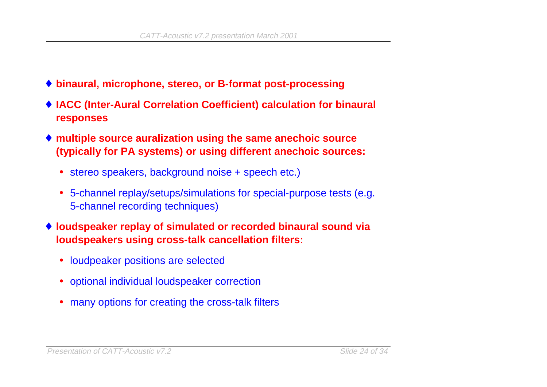- ♦ **binaural, microphone, stereo, or B-format post-processing**
- ♦ **IACC (Inter-Aural Correlation Coefficient) calculation for binaural responses**
- ♦ **multiple source auralization using the same anechoic source (typically for PA systems) or using different anechoic sources:**
	- stereo speakers, background noise + speech etc.)
	- 5-channel replay/setups/simulations for special-purpose tests (e.g. 5-channel recording techniques)
- ♦ **loudspeaker replay of simulated or recorded binaural sound via loudspeakers using cross-talk cancellation filters:**
	- loudpeaker positions are selected
	- optional individual loudspeaker correction
	- many options for creating the cross-talk filters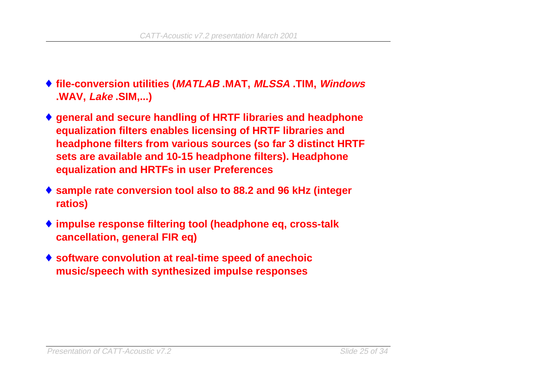- ♦ **file-conversion utilities (MATLAB .MAT, MLSSA .TIM, Windows .WAV, Lake .SIM,...)**
- ♦ **general and secure handling of HRTF libraries and headphone equalization filters enables licensing of HRTF libraries and headphone filters from various sources (so far 3 distinct HRTF sets are available and 10-15 headphone filters). Headphone equalization and HRTFs in user Preferences**
- ♦ **sample rate conversion tool also to 88.2 and 96 kHz (integer ratios)**
- ♦ **impulse response filtering tool (headphone eq, cross-talk cancellation, general FIR eq)**
- ♦ **software convolution at real-time speed of anechoic music/speech with synthesized impulse responses**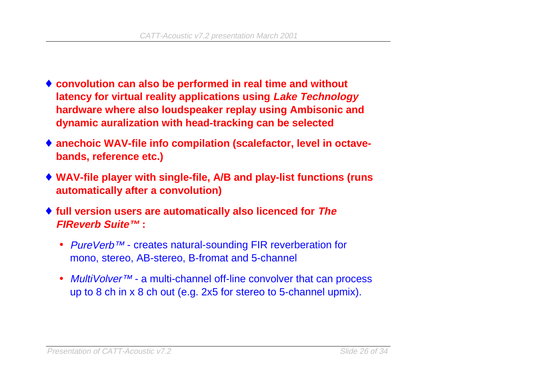- ♦ **convolution can also be performed in real time and without latency for virtual reality applications using Lake Technology hardware where also loudspeaker replay using Ambisonic and dynamic auralization with head-tracking can be selected**
- ♦ **anechoic WAV-file info compilation (scalefactor, level in octavebands, reference etc.)**
- ♦ **WAV-file player with single-file, A/B and play-list functions (runs automatically after a convolution)**
- ♦ **full version users are automatically also licenced for The FIReverb Suite™ :**
	- PureVerb™ creates natural-sounding FIR reverberation for mono, stereo, AB-stereo, B-fromat and 5-channel
	- *MultiVolver™* a multi-channel off-line convolver that can process up to 8 ch in x 8 ch out (e.g. 2x5 for stereo to 5-channel upmix).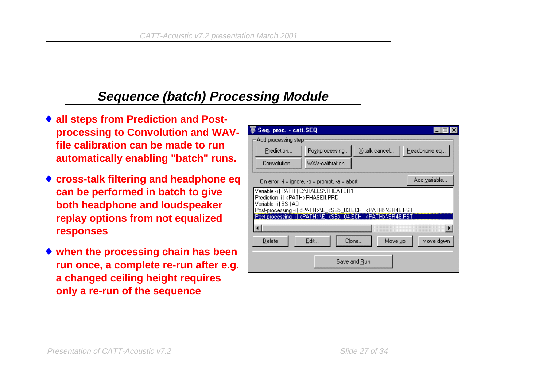### **Sequence (batch) Processing Module**

- ♦ **all steps from Prediction and Postprocessing to Convolution and WAVfile calibration can be made to runautomatically enabling "batch" runs.**
- ♦ **cross-talk filtering and headphone eq can be performed in batch to give both headphone and loudspeaker replay options from not equalized responses**
- ♦ **when the processing chain has been run once, a complete re-run after e.g. a changed ceiling height requires only a re-run of the sequence**

| Seq. proc. - catt.SEQ                                                                                   |                 |                      |              |
|---------------------------------------------------------------------------------------------------------|-----------------|----------------------|--------------|
| Add processing step                                                                                     |                 |                      |              |
| Prediction                                                                                              | Post-processing | X-talk cancel        | Headphone eq |
| Convolution                                                                                             | WAV-calibration |                      |              |
| Add variable<br>On error: $\cdot i$ = ignore, $\cdot p$ = prompt, $\cdot a$ = abort                     |                 |                      |              |
| Variable -i   PATH   C:\HALLS\THEATER1<br>Prediction -i   <path>PHASEII.PRD</path>                      |                 |                      |              |
| Variable -i I SS I A0<br>Post-processing -i   <path>NE_<ss>_03.ECH   <path>NSR48.PST</path></ss></path> |                 |                      |              |
| Post-processing -i   <path>\E <ss> 04.ECH   <path>\SR48.PST</path></ss></path>                          |                 |                      |              |
|                                                                                                         |                 |                      |              |
| Delete                                                                                                  | Edit            | Clone<br>Move up     | Move down    |
|                                                                                                         |                 | Save and <u>R</u> un |              |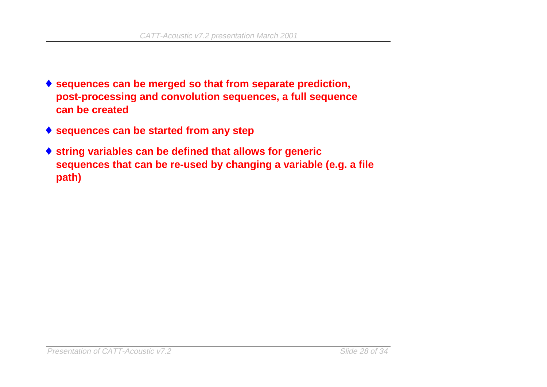- ♦ **sequences can be merged so that from separate prediction, post-processing and convolution sequences, a full sequence can be created**
- ♦ **sequences can be started from any step**
- ♦ **string variables can be defined that allows for generic sequences that can be re-used by changing a variable (e.g. a file path)**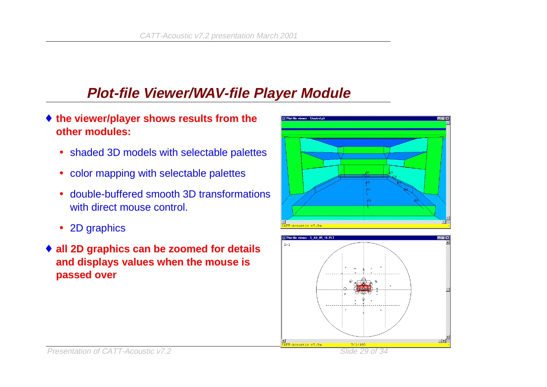## **Plot-file Viewer/WAV-file Player Module**

- ♦ **the viewer/player shows results from the other modules:**
	- shaded 3D models with selectable palettes
	- color mapping with selectable palettes
	- double-buffered smooth 3D transformationswith direct mouse control.
	- 2D graphics
- ♦ **all 2D graphics can be zoomed for details and displays values when the mouse is passed over**



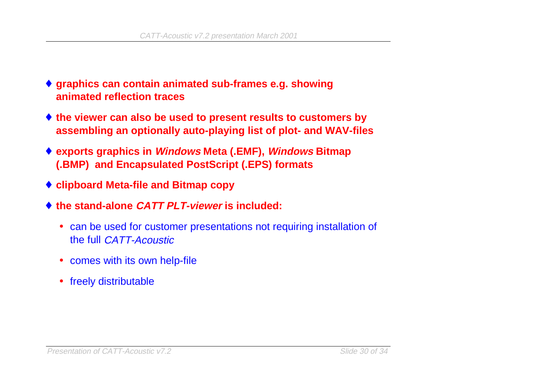- ♦ **graphics can contain animated sub-frames e.g. showing animated reflection traces**
- ♦ **the viewer can also be used to present results to customers by assembling an optionally auto-playing list of plot- and WAV-files**
- ♦ **exports graphics in Windows Meta (.EMF), Windows Bitmap (.BMP) and Encapsulated PostScript (.EPS) formats**
- ♦ **clipboard Meta-file and Bitmap copy**
- ♦ **the stand-alone CATT PLT-viewer is included:**
	- can be used for customer presentations not requiring installation of the full CATT-Acoustic
	- comes with its own help-file
	- freely distributable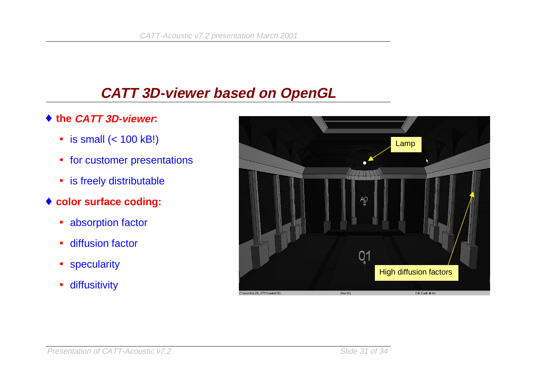### **CATT 3D-viewer based on OpenGL**

- ♦ **the CATT 3D-viewer:**
	- is small (< 100 kB!)
	- for customer presentations
	- is freely distributable
- ♦ **color surface coding:**
	- absorption factor
	- diffusion factor
	- specularity
	- $\bullet$ diffusitivity

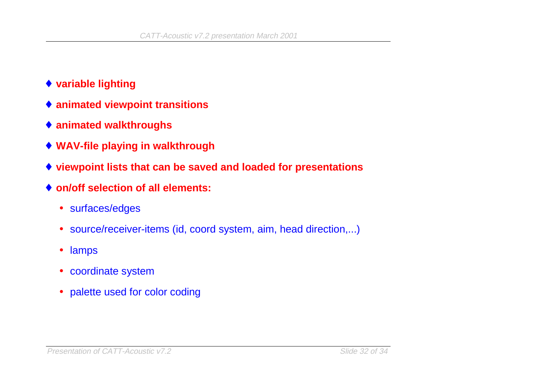- ♦ **variable lighting**
- ♦ **animated viewpoint transitions**
- ♦ **animated walkthroughs**
- ♦ **WAV-file playing in walkthrough**
- ♦ **viewpoint lists that can be saved and loaded for presentations**
- ♦ **on/off selection of all elements:**
	- surfaces/edges
	- source/receiver-items (id, coord system, aim, head direction,...)
	- lamps
	- coordinate system
	- palette used for color coding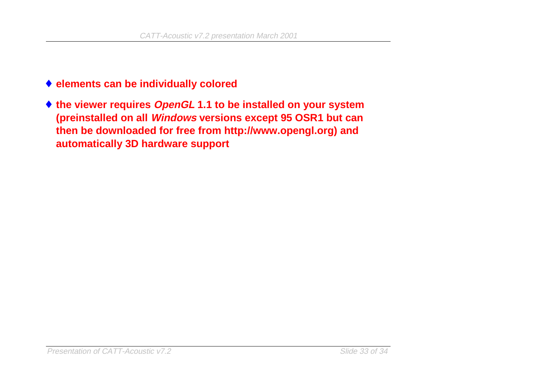- ♦ **elements can be individually colored**
- ♦ **the viewer requires OpenGL 1.1 to be installed on your system (preinstalled on all Windows versions except 95 OSR1 but can then be downloaded for free from http://www.opengl.org) and automatically 3D hardware support**